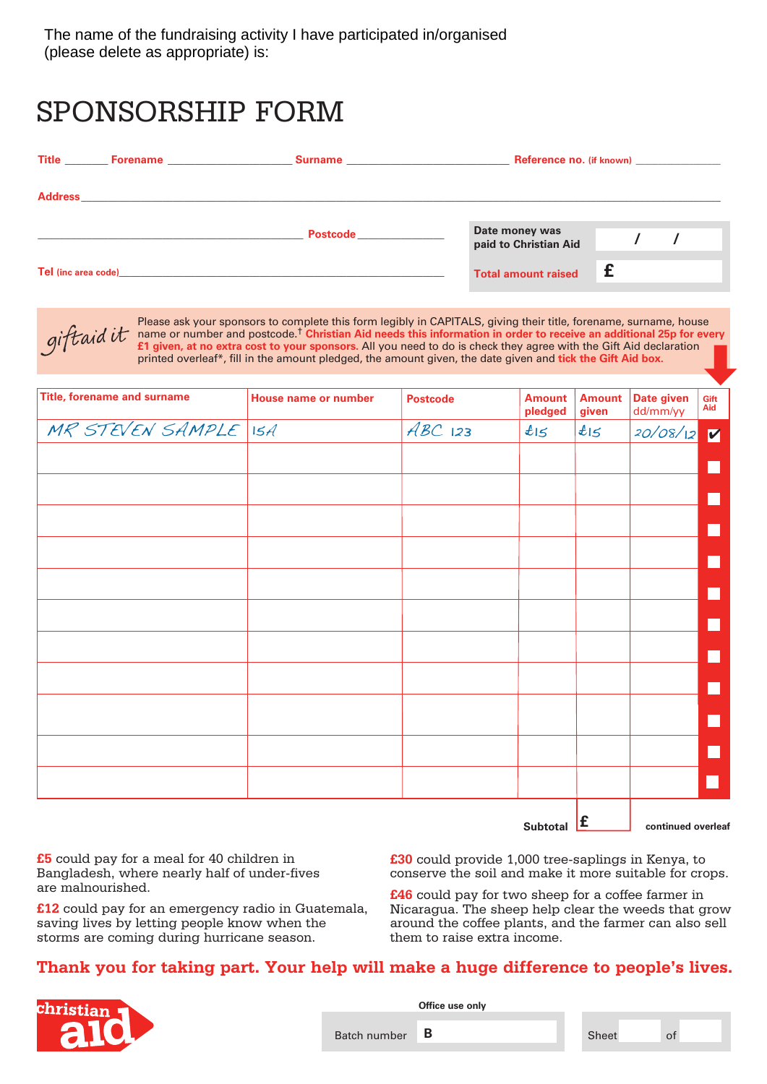## SPONSORSHIP FORM

|                                                                                                                                                                                                                                           |                                                                                                                      | Reference no. (if known)                |  |  |  |
|-------------------------------------------------------------------------------------------------------------------------------------------------------------------------------------------------------------------------------------------|----------------------------------------------------------------------------------------------------------------------|-----------------------------------------|--|--|--|
|                                                                                                                                                                                                                                           |                                                                                                                      |                                         |  |  |  |
|                                                                                                                                                                                                                                           | Postcode <b>Exercía de Serviço de Serviço de Serviço de Serviço de Serviço de Serviço de Serviço de Serviço de S</b> | Date money was<br>paid to Christian Aid |  |  |  |
| <b>Tel</b> (inc area code) <b>Alternative Contract Contract Contract Contract Contract Contract Contract Contract Contract Contract Contract Contract Contract Contract Contract Contract Contract Contract Contract Contract Contrac</b> |                                                                                                                      | <b>Total amount raised</b>              |  |  |  |



Please ask your sponsors to complete this form legibly in CAPITALS, giving their title, forename, surname, house<br>name or number and postcode.<sup>†</sup> Chr<mark>istian Aid needs this information in order to receive an additional 25p f</mark> **£1 given, at no extra cost to your sponsors.** All you need to do is check they agree with the Gift Aid declaration printed overleaf\*, fill in the amount pledged, the amount given, the date given and tick the Gift Aid box. ➡

| <b>Title, forename and surname</b> | <b>House name or number</b> | <b>Postcode</b> | <b>Amount</b><br>pledged | <b>Amount</b><br>given | Date given<br>dd/mm/yy | Gift<br>Aid    |
|------------------------------------|-----------------------------|-----------------|--------------------------|------------------------|------------------------|----------------|
| MR STEVEN SAMPLE ISA               |                             | $ABC$ 123       | tl                       | tl                     | 20/08/12               | $\blacksquare$ |
|                                    |                             |                 |                          |                        |                        |                |
|                                    |                             |                 |                          |                        |                        |                |
|                                    |                             |                 |                          |                        |                        |                |
|                                    |                             |                 |                          |                        |                        |                |
|                                    |                             |                 |                          |                        |                        |                |
|                                    |                             |                 |                          |                        |                        |                |
|                                    |                             |                 |                          |                        |                        |                |
|                                    |                             |                 |                          |                        |                        |                |
|                                    |                             |                 |                          |                        |                        |                |
|                                    |                             |                 |                          |                        |                        |                |
|                                    |                             |                 |                          |                        |                        |                |
|                                    |                             |                 |                          |                        |                        |                |
|                                    |                             |                 |                          |                        |                        |                |
|                                    |                             |                 |                          |                        |                        |                |
|                                    |                             |                 |                          |                        |                        |                |
|                                    |                             |                 |                          |                        |                        |                |

**Subtotal continued overleaf £**

**£5** could pay for a meal for 40 children in Bangladesh, where nearly half of under-fives are malnourished.

**£12** could pay for an emergency radio in Guatemala, saving lives by letting people know when the storms are coming during hurricane season.

**£30** could provide 1,000 tree-saplings in Kenya, to conserve the soil and make it more suitable for crops.

**£46** could pay for two sheep for a coffee farmer in Nicaragua. The sheep help clear the weeds that grow around the coffee plants, and the farmer can also sell them to raise extra income.

## **Thank you for taking part. Your help will make a huge difference to people's lives.**



**Office use only**

Batch number **B**